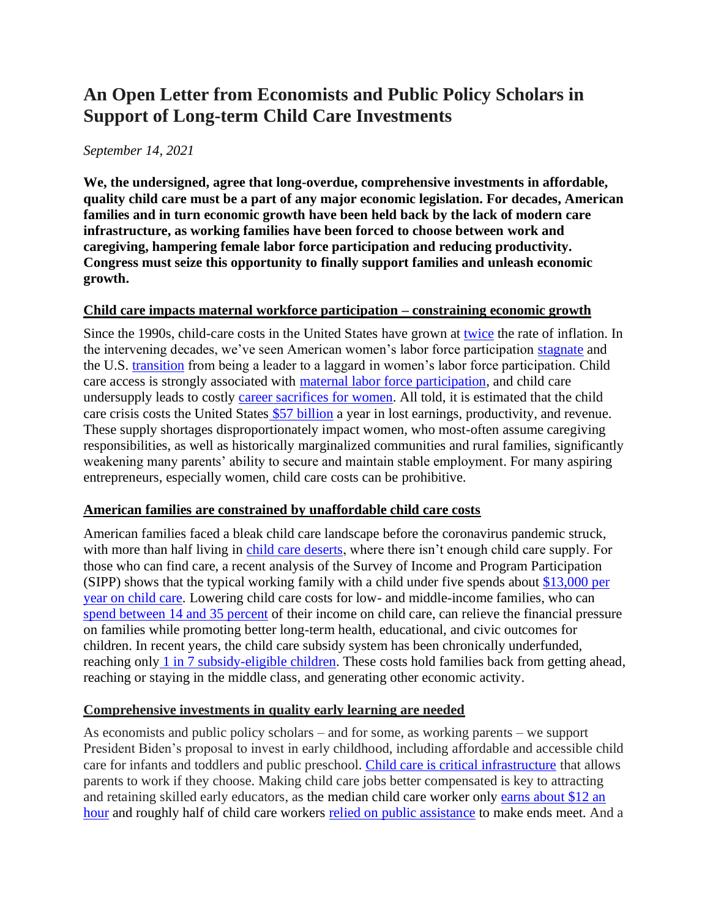# **An Open Letter from Economists and Public Policy Scholars in Support of Long-term Child Care Investments**

#### *September 14, 2021*

**We, the undersigned, agree that long-overdue, comprehensive investments in affordable, quality child care must be a part of any major economic legislation. For decades, American families and in turn economic growth have been held back by the lack of modern care infrastructure, as working families have been forced to choose between work and caregiving, hampering female labor force participation and reducing productivity. Congress must seize this opportunity to finally support families and unleash economic growth.**

#### **Child care impacts maternal workforce participation – constraining economic growth**

Since the 1990s, child-care costs in the United States have grown at [twice](https://www.theatlantic.com/ideas/archive/2019/11/why-child-care-so-expensive/602599/) the rate of inflation. In the intervening decades, we've seen American women's labor force participation [stagnate](https://www.nber.org/system/files/working_papers/w18702/w18702.pdf) and the U.S. [transition](https://www.nber.org/system/files/working_papers/w18702/w18702.pdf) from being a leader to a laggard in women's labor force participation. Child care access is strongly associated with [maternal labor force participation,](https://www.americanprogress.org/issues/early-childhood/reports/2019/03/28/467488/child-care-crisis-keeping-women-workforce/) and child care undersupply leads to costly [career sacrifices for](https://www.nytimes.com/2020/06/03/business/economy/coronavirus-working-women.html) women. All told, it is estimated that the child care crisis costs the United States [\\$57 billion](https://strongnation.s3.amazonaws.com/documents/602/83bb2275-ce07-4d74-bcee-ff6178daf6bd.pdf) a year in lost earnings, productivity, and revenue. These supply shortages disproportionately impact women, who most-often assume caregiving responsibilities, as well as historically marginalized communities and rural families, significantly weakening many parents' ability to secure and maintain stable employment. For many aspiring entrepreneurs, especially women, child care costs can be prohibitive.

## **American families are constrained by unaffordable child care costs**

American families faced a bleak child care landscape before the coronavirus pandemic struck, with more than half living in [child care deserts,](https://www.americanprogress.org/issues/early-childhood/reports/2018/12/06/461643/americas-child-care-deserts-2018/) where there isn't enough child care supply. For those who can find care, a recent analysis of the Survey of Income and Program Participation (SIPP) shows that the typical working family with a child under five spends about [\\$13,000 per](https://www.americanprogress.org/issues/early-childhood/reports/2019/06/20/471141/working-families-spending-big-money-child-care/)  [year on child care.](https://www.americanprogress.org/issues/early-childhood/reports/2019/06/20/471141/working-families-spending-big-money-child-care/) Lowering child care costs for low- and middle-income families, who can [spend between 14 and 35 percent](https://www.americanprogress.org/issues/early-childhood/reports/2019/06/20/471141/working-families-spending-big-money-child-care/) of their income on child care, can relieve the financial pressure on families while promoting better long-term health, educational, and civic outcomes for children. In recent years, the child care subsidy system has been chronically underfunded, reaching onl[y](https://aspe.hhs.gov/system/files/pdf/264341/CY2017-Child-Care-Subsidy-Eligibility.pdf) [1 in 7 subsidy-eligible children.](https://aspe.hhs.gov/system/files/pdf/264341/CY2017-Child-Care-Subsidy-Eligibility.pdf) These costs hold families back from getting ahead, reaching or staying in the middle class, and generating other economic activity.

## **Comprehensive investments in quality early learning are needed**

As economists and public policy scholars – and for some, as working parents – we support President Biden's proposal to invest in early childhood, including affordable and accessible child care for infants and toddlers and public preschool. [Child care is critical infrastructure](https://time.com/5888887/childcare-crisis-coronavirus/) that allows parents to work if they choose. Making child care jobs better compensated is key to attracting and retaining skilled early educators, as the median child care worker only [earns about \\$12 an](https://www.bls.gov/oes/2019/may/oes399011.htm)  [hour](https://www.bls.gov/oes/2019/may/oes399011.htm) and roughly half of child care workers [relied on public assistance](https://cscce.berkeley.edu/wp-content/uploads/2018/06/2018-Index-Executive-Summary.pdf) to make ends meet. And a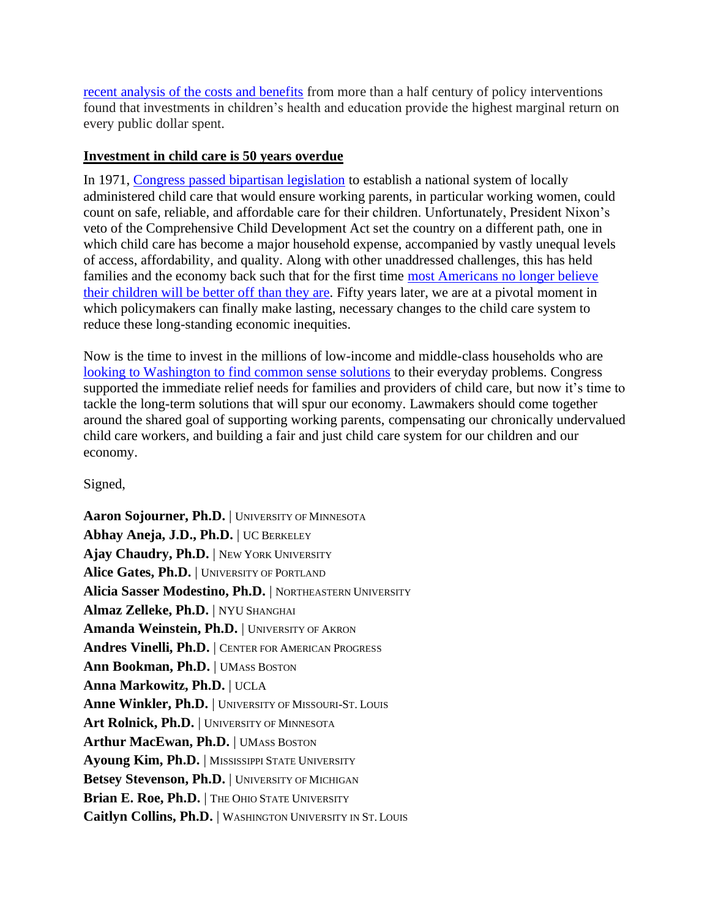[recent analysis of the costs and benefits](https://scholar.harvard.edu/hendren/publications/unified-welfare-analysis-government-policies) from more than a half century of policy interventions found that investments in children's health and education provide the highest marginal return on every public dollar spent.

## **Investment in child care is 50 years overdue**

In 1971, [Congress passed bipartisan legislation](https://newrepublic.com/article/113009/child-care-america-was-very-close-universal-day-care) to establish a national system of locally administered child care that would ensure working parents, in particular working women, could count on safe, reliable, and affordable care for their children. Unfortunately, President Nixon's veto of the Comprehensive Child Development Act set the country on a different path, one in which child care has become a major household expense, accompanied by vastly unequal levels of access, affordability, and quality. Along with other unaddressed challenges, this has held families and the economy back such that for the first time [most Americans no longer believe](https://www.cnbc.com/2021/07/21/many-americans-think-children-will-be-financially-worse-off-than-their-parents.html)  [their children will be better off](https://www.cnbc.com/2021/07/21/many-americans-think-children-will-be-financially-worse-off-than-their-parents.html) than they are. Fifty years later, we are at a pivotal moment in which policymakers can finally make lasting, necessary changes to the child care system to reduce these long-standing economic inequities.

Now is the time to invest in the millions of low-income and middle-class households who are [looking to Washington to find common sense solutions](https://morningconsult.com/2021/05/05/biden-american-families-plan-support-poll/) to their everyday problems. Congress supported the immediate relief needs for families and providers of child care, but now it's time to tackle the long-term solutions that will spur our economy. Lawmakers should come together around the shared goal of supporting working parents, compensating our chronically undervalued child care workers, and building a fair and just child care system for our children and our economy.

Signed,

Aaron Sojourner, Ph.D. | UNIVERSITY OF MINNESOTA **Abhay Aneja, J.D., Ph.D.** | UC BERKELEY Ajay Chaudry, Ph.D. | NEW YORK UNIVERSITY **Alice Gates, Ph.D.** | UNIVERSITY OF PORTLAND **Alicia Sasser Modestino, Ph.D.** | NORTHEASTERN UNIVERSITY **Almaz Zelleke, Ph.D.** | NYU SHANGHAI Amanda Weinstein, Ph.D. | UNIVERSITY OF AKRON **Andres Vinelli, Ph.D.** | CENTER FOR AMERICAN PROGRESS Ann Bookman, Ph.D. | UMASS BOSTON **Anna Markowitz, Ph.D.** | UCLA Anne Winkler, Ph.D. | UNIVERSITY OF MISSOURI-ST. LOUIS Art Rolnick, Ph.D. | UNIVERSITY OF MINNESOTA Arthur MacEwan, Ph.D. | UMASS BOSTON **Ayoung Kim, Ph.D.** | MISSISSIPPI STATE UNIVERSITY Betsey Stevenson, Ph.D. | UNIVERSITY OF MICHIGAN Brian E. Roe, Ph.D. | THE OHIO STATE UNIVERSITY **Caitlyn Collins, Ph.D.** | WASHINGTON UNIVERSITY IN ST. LOUIS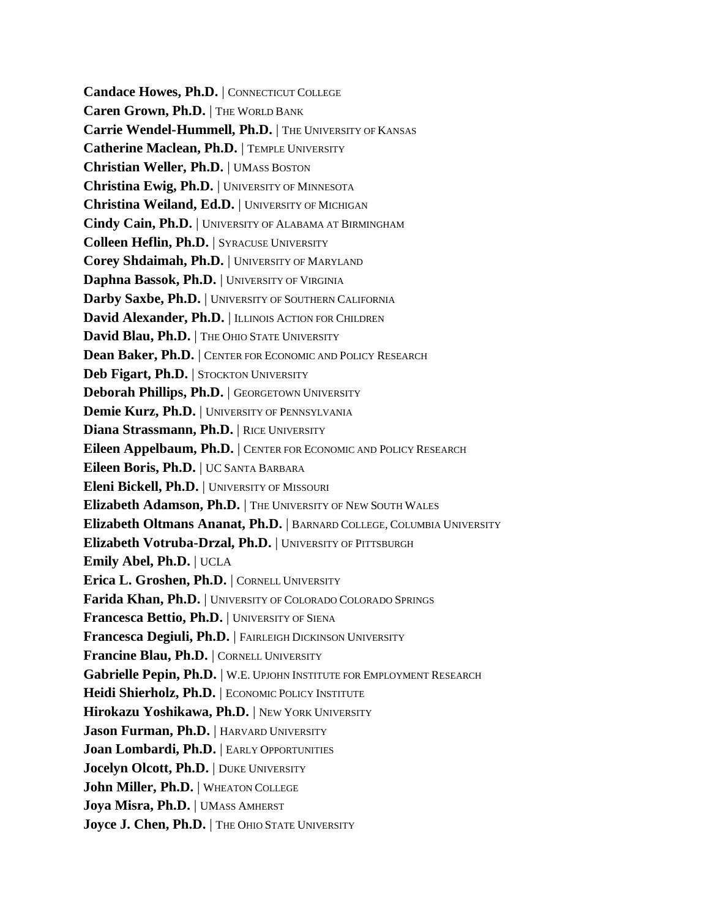**Candace Howes, Ph.D.** | CONNECTICUT COLLEGE **Caren Grown, Ph.D.** | THE WORLD BANK Carrie Wendel-Hummell, Ph.D. | THE UNIVERSITY OF KANSAS **Catherine Maclean, Ph.D.** | TEMPLE UNIVERSITY **Christian Weller, Ph.D.** | UMASS BOSTON **Christina Ewig, Ph.D.** | UNIVERSITY OF MINNESOTA **Christina Weiland, Ed.D.** | UNIVERSITY OF MICHIGAN **Cindy Cain, Ph.D.** | UNIVERSITY OF ALABAMA AT BIRMINGHAM **Colleen Heflin, Ph.D.** | SYRACUSE UNIVERSITY **Corey Shdaimah, Ph.D.** | UNIVERSITY OF MARYLAND **Daphna Bassok, Ph.D.** | UNIVERSITY OF VIRGINIA **Darby Saxbe, Ph.D.** | UNIVERSITY OF SOUTHERN CALIFORNIA David Alexander, Ph.D. | ILLINOIS ACTION FOR CHILDREN David Blau, Ph.D. | THE OHIO STATE UNIVERSITY **Dean Baker, Ph.D.** | CENTER FOR ECONOMIC AND POLICY RESEARCH **Deb Figart, Ph.D.** | STOCKTON UNIVERSITY **Deborah Phillips, Ph.D.** | GEORGETOWN UNIVERSITY **Demie Kurz, Ph.D.** | UNIVERSITY OF PENNSYLVANIA **Diana Strassmann, Ph.D.** | RICE UNIVERSITY **Eileen Appelbaum, Ph.D.** | CENTER FOR ECONOMIC AND POLICY RESEARCH **Eileen Boris, Ph.D.** | UC SANTA BARBARA **Eleni Bickell, Ph.D.** | UNIVERSITY OF MISSOURI **Elizabeth Adamson, Ph.D.** | THE UNIVERSITY OF NEW SOUTH WALES **Elizabeth Oltmans Ananat, Ph.D.** | BARNARD COLLEGE, COLUMBIA UNIVERSITY **Elizabeth Votruba-Drzal, Ph.D.** | UNIVERSITY OF PITTSBURGH **Emily Abel, Ph.D.** | UCLA **Erica L. Groshen, Ph.D.** | CORNELL UNIVERSITY **Farida Khan, Ph.D.** | UNIVERSITY OF COLORADO COLORADO SPRINGS **Francesca Bettio, Ph.D.** | UNIVERSITY OF SIENA **Francesca Degiuli, Ph.D.** | FAIRLEIGH DICKINSON UNIVERSITY **Francine Blau, Ph.D.** | CORNELL UNIVERSITY Gabrielle Pepin, Ph.D. | W.E. UPJOHN INSTITUTE FOR EMPLOYMENT RESEARCH Heidi Shierholz, Ph.D. | ECONOMIC POLICY INSTITUTE **Hirokazu Yoshikawa, Ph.D.** | NEW YORK UNIVERSITY **Jason Furman, Ph.D.** | HARVARD UNIVERSITY **Joan Lombardi, Ph.D.** | EARLY OPPORTUNITIES **Jocelyn Olcott, Ph.D.** | DUKE UNIVERSITY **John Miller, Ph.D.** | WHEATON COLLEGE Joya Misra, Ph.D. | UMASS AMHERST **Joyce J. Chen, Ph.D.** | THE OHIO STATE UNIVERSITY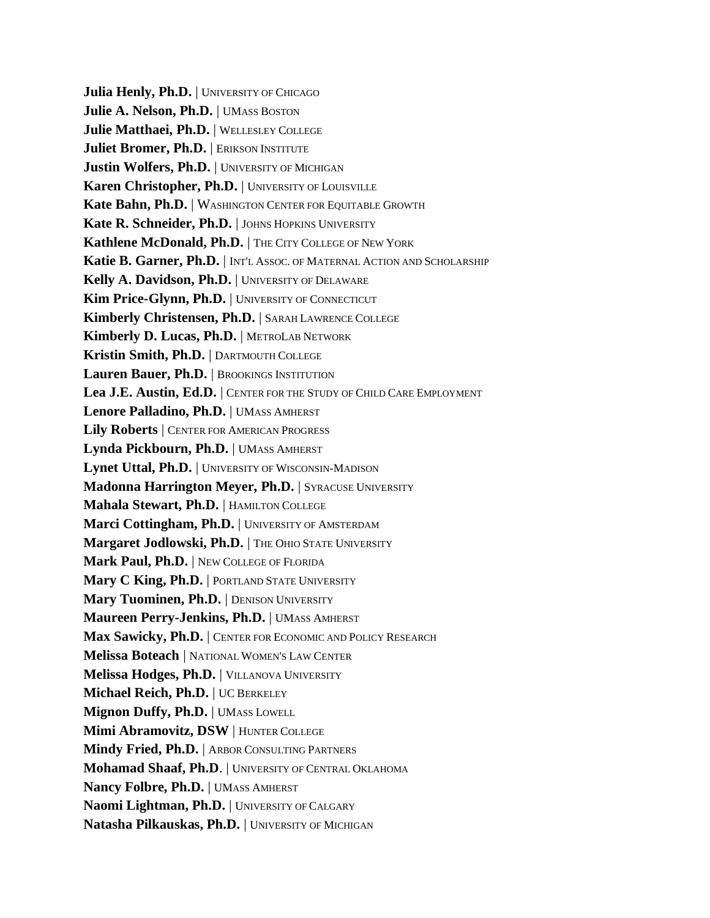**Julia Henly, Ph.D.** UNIVERSITY OF CHICAGO **Julie A. Nelson, Ph.D.** | UMASS BOSTON **Julie Matthaei, Ph.D.** | WELLESLEY COLLEGE **Juliet Bromer, Ph.D.** | ERIKSON INSTITUTE **Justin Wolfers, Ph.D.** | UNIVERSITY OF MICHIGAN **Karen Christopher, Ph.D.** | UNIVERSITY OF LOUISVILLE **Kate Bahn, Ph.D.** | WASHINGTON CENTER FOR EQUITABLE GROWTH Kate R. Schneider, Ph.D. | JOHNS HOPKINS UNIVERSITY Kathlene McDonald, Ph.D. | THE CITY COLLEGE OF NEW YORK **Katie B. Garner, Ph.D.** | INT'L ASSOC. OF MATERNAL ACTION AND SCHOLARSHIP **Kelly A. Davidson, Ph.D.** | UNIVERSITY OF DELAWARE **Kim Price-Glynn, Ph.D.** | UNIVERSITY OF CONNECTICUT **Kimberly Christensen, Ph.D.** | SARAH LAWRENCE COLLEGE **Kimberly D. Lucas, Ph.D.** | METROLAB NETWORK **Kristin Smith, Ph.D.** | DARTMOUTH COLLEGE Lauren Bauer, Ph.D. | BROOKINGS INSTITUTION **Lea J.E. Austin, Ed.D.** | CENTER FOR THE STUDY OF CHILD CARE EMPLOYMENT **Lenore Palladino, Ph.D.** | UMASS AMHERST **Lily Roberts** | CENTER FOR AMERICAN PROGRESS **Lynda Pickbourn, Ph.D.** | UMASS AMHERST Lynet Uttal, Ph.D. | UNIVERSITY OF WISCONSIN-MADISON **Madonna Harrington Meyer, Ph.D.** SYRACUSE UNIVERSITY **Mahala Stewart, Ph.D.** | HAMILTON COLLEGE Marci Cottingham, Ph.D. | UNIVERSITY OF AMSTERDAM Margaret Jodlowski, Ph.D. | THE OHIO STATE UNIVERSITY **Mark Paul, Ph.D.** | NEW COLLEGE OF FLORIDA **Mary C King, Ph.D.** | PORTLAND STATE UNIVERSITY **Mary Tuominen, Ph.D.** | DENISON UNIVERSITY **Maureen Perry-Jenkins, Ph.D.** | UMASS AMHERST **Max Sawicky, Ph.D.** | CENTER FOR ECONOMIC AND POLICY RESEARCH **Melissa Boteach** | NATIONAL WOMEN'S LAW CENTER **Melissa Hodges, Ph.D.** | VILLANOVA UNIVERSITY **Michael Reich, Ph.D.** | UC BERKELEY **Mignon Duffy, Ph.D.** | UMASS LOWELL **Mimi Abramovitz, DSW** | HUNTER COLLEGE **Mindy Fried, Ph.D.** | ARBOR CONSULTING PARTNERS **Mohamad Shaaf, Ph.D**. | UNIVERSITY OF CENTRAL OKLAHOMA **Nancy Folbre, Ph.D.** | UMASS AMHERST **Naomi Lightman, Ph.D.** | UNIVERSITY OF CALGARY **Natasha Pilkauskas, Ph.D.** | UNIVERSITY OF MICHIGAN